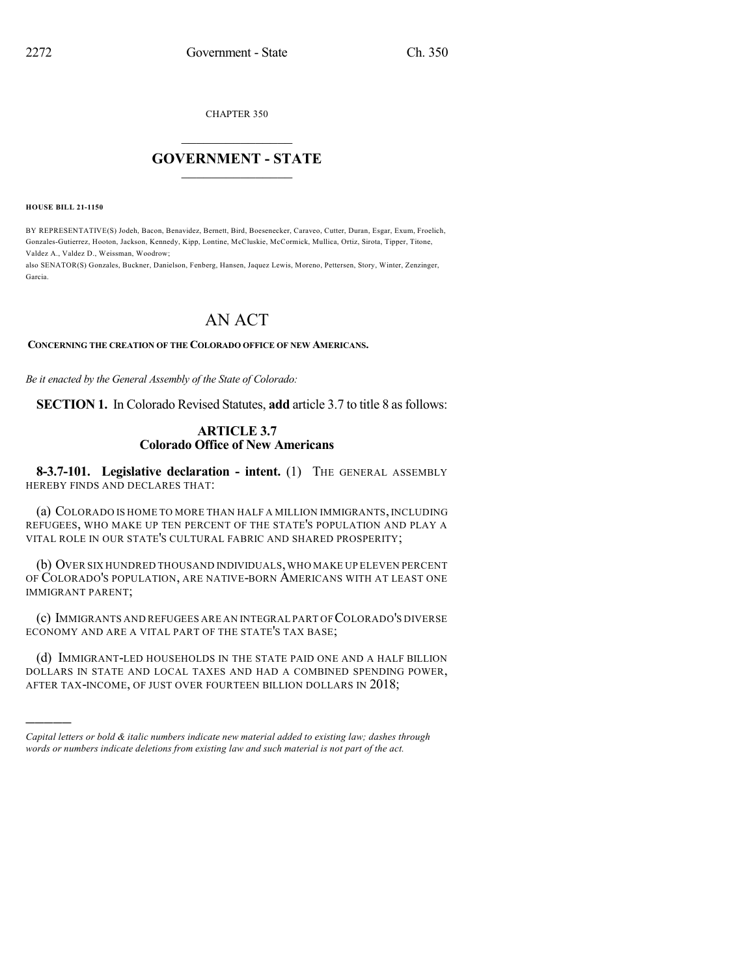CHAPTER 350

## $\mathcal{L}_\text{max}$  . The set of the set of the set of the set of the set of the set of the set of the set of the set of the set of the set of the set of the set of the set of the set of the set of the set of the set of the set **GOVERNMENT - STATE**  $\_$   $\_$   $\_$   $\_$   $\_$   $\_$   $\_$   $\_$   $\_$

**HOUSE BILL 21-1150**

)))))

BY REPRESENTATIVE(S) Jodeh, Bacon, Benavidez, Bernett, Bird, Boesenecker, Caraveo, Cutter, Duran, Esgar, Exum, Froelich, Gonzales-Gutierrez, Hooton, Jackson, Kennedy, Kipp, Lontine, McCluskie, McCormick, Mullica, Ortiz, Sirota, Tipper, Titone, Valdez A., Valdez D., Weissman, Woodrow;

also SENATOR(S) Gonzales, Buckner, Danielson, Fenberg, Hansen, Jaquez Lewis, Moreno, Pettersen, Story, Winter, Zenzinger, Garcia.

# AN ACT

### **CONCERNING THE CREATION OF THE COLORADO OFFICE OF NEW AMERICANS.**

*Be it enacted by the General Assembly of the State of Colorado:*

**SECTION 1.** In Colorado Revised Statutes, **add** article 3.7 to title 8 as follows:

### **ARTICLE 3.7 Colorado Office of New Americans**

**8-3.7-101. Legislative declaration - intent.** (1) THE GENERAL ASSEMBLY HEREBY FINDS AND DECLARES THAT:

(a) COLORADO IS HOME TO MORE THAN HALF A MILLION IMMIGRANTS, INCLUDING REFUGEES, WHO MAKE UP TEN PERCENT OF THE STATE'S POPULATION AND PLAY A VITAL ROLE IN OUR STATE'S CULTURAL FABRIC AND SHARED PROSPERITY;

(b) OVER SIX HUNDRED THOUSAND INDIVIDUALS,WHO MAKE UP ELEVEN PERCENT OF COLORADO'S POPULATION, ARE NATIVE-BORN AMERICANS WITH AT LEAST ONE IMMIGRANT PARENT;

(c) IMMIGRANTS AND REFUGEES ARE AN INTEGRAL PART OF COLORADO'S DIVERSE ECONOMY AND ARE A VITAL PART OF THE STATE'S TAX BASE;

(d) IMMIGRANT-LED HOUSEHOLDS IN THE STATE PAID ONE AND A HALF BILLION DOLLARS IN STATE AND LOCAL TAXES AND HAD A COMBINED SPENDING POWER, AFTER TAX-INCOME, OF JUST OVER FOURTEEN BILLION DOLLARS IN 2018;

*Capital letters or bold & italic numbers indicate new material added to existing law; dashes through words or numbers indicate deletions from existing law and such material is not part of the act.*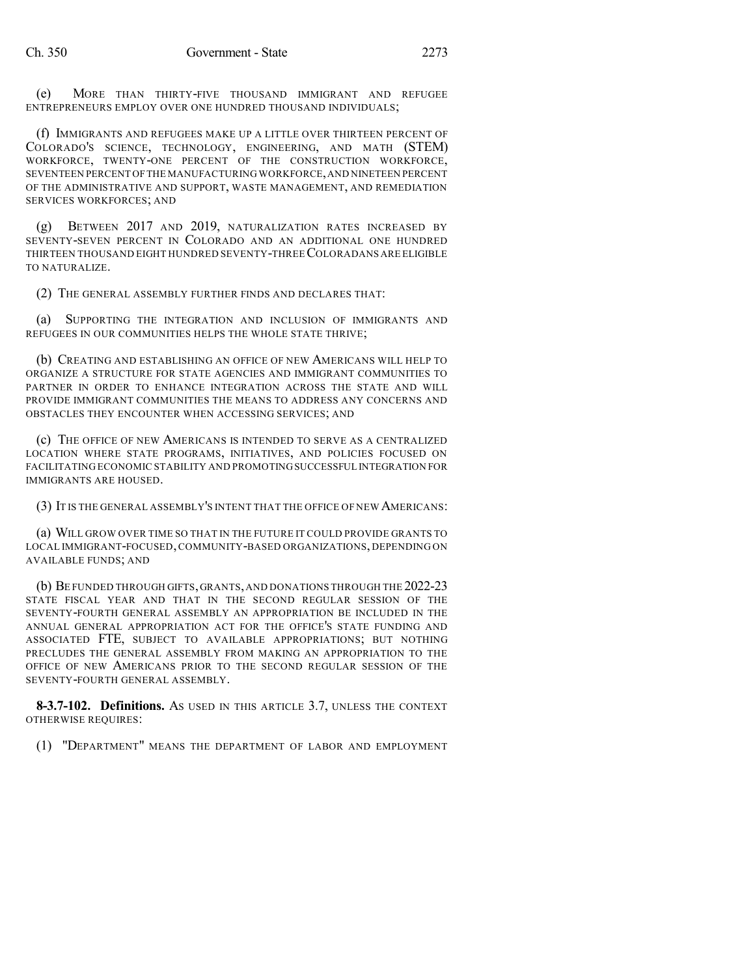(e) MORE THAN THIRTY-FIVE THOUSAND IMMIGRANT AND REFUGEE ENTREPRENEURS EMPLOY OVER ONE HUNDRED THOUSAND INDIVIDUALS;

(f) IMMIGRANTS AND REFUGEES MAKE UP A LITTLE OVER THIRTEEN PERCENT OF COLORADO'S SCIENCE, TECHNOLOGY, ENGINEERING, AND MATH (STEM) WORKFORCE, TWENTY-ONE PERCENT OF THE CONSTRUCTION WORKFORCE, SEVENTEEN PERCENT OFTHE MANUFACTURING WORKFORCE,AND NINETEEN PERCENT OF THE ADMINISTRATIVE AND SUPPORT, WASTE MANAGEMENT, AND REMEDIATION SERVICES WORKFORCES; AND

(g) BETWEEN 2017 AND 2019, NATURALIZATION RATES INCREASED BY SEVENTY-SEVEN PERCENT IN COLORADO AND AN ADDITIONAL ONE HUNDRED THIRTEEN THOUSAND EIGHT HUNDRED SEVENTY-THREECOLORADANS ARE ELIGIBLE TO NATURALIZE.

(2) THE GENERAL ASSEMBLY FURTHER FINDS AND DECLARES THAT:

(a) SUPPORTING THE INTEGRATION AND INCLUSION OF IMMIGRANTS AND REFUGEES IN OUR COMMUNITIES HELPS THE WHOLE STATE THRIVE;

(b) CREATING AND ESTABLISHING AN OFFICE OF NEW AMERICANS WILL HELP TO ORGANIZE A STRUCTURE FOR STATE AGENCIES AND IMMIGRANT COMMUNITIES TO PARTNER IN ORDER TO ENHANCE INTEGRATION ACROSS THE STATE AND WILL PROVIDE IMMIGRANT COMMUNITIES THE MEANS TO ADDRESS ANY CONCERNS AND OBSTACLES THEY ENCOUNTER WHEN ACCESSING SERVICES; AND

(c) THE OFFICE OF NEW AMERICANS IS INTENDED TO SERVE AS A CENTRALIZED LOCATION WHERE STATE PROGRAMS, INITIATIVES, AND POLICIES FOCUSED ON FACILITATING ECONOMIC STABILITY AND PROMOTINGSUCCESSFUL INTEGRATION FOR IMMIGRANTS ARE HOUSED.

(3) IT IS THE GENERAL ASSEMBLY'S INTENT THAT THE OFFICE OF NEW AMERICANS:

(a) WILL GROW OVER TIME SO THAT IN THE FUTURE IT COULD PROVIDE GRANTS TO LOCAL IMMIGRANT-FOCUSED, COMMUNITY-BASED ORGANIZATIONS, DEPENDING ON AVAILABLE FUNDS; AND

(b) BE FUNDED THROUGH GIFTS,GRANTS,AND DONATIONS THROUGH THE 2022-23 STATE FISCAL YEAR AND THAT IN THE SECOND REGULAR SESSION OF THE SEVENTY-FOURTH GENERAL ASSEMBLY AN APPROPRIATION BE INCLUDED IN THE ANNUAL GENERAL APPROPRIATION ACT FOR THE OFFICE'S STATE FUNDING AND ASSOCIATED FTE, SUBJECT TO AVAILABLE APPROPRIATIONS; BUT NOTHING PRECLUDES THE GENERAL ASSEMBLY FROM MAKING AN APPROPRIATION TO THE OFFICE OF NEW AMERICANS PRIOR TO THE SECOND REGULAR SESSION OF THE SEVENTY-FOURTH GENERAL ASSEMBLY.

**8-3.7-102. Definitions.** AS USED IN THIS ARTICLE 3.7, UNLESS THE CONTEXT OTHERWISE REQUIRES:

(1) "DEPARTMENT" MEANS THE DEPARTMENT OF LABOR AND EMPLOYMENT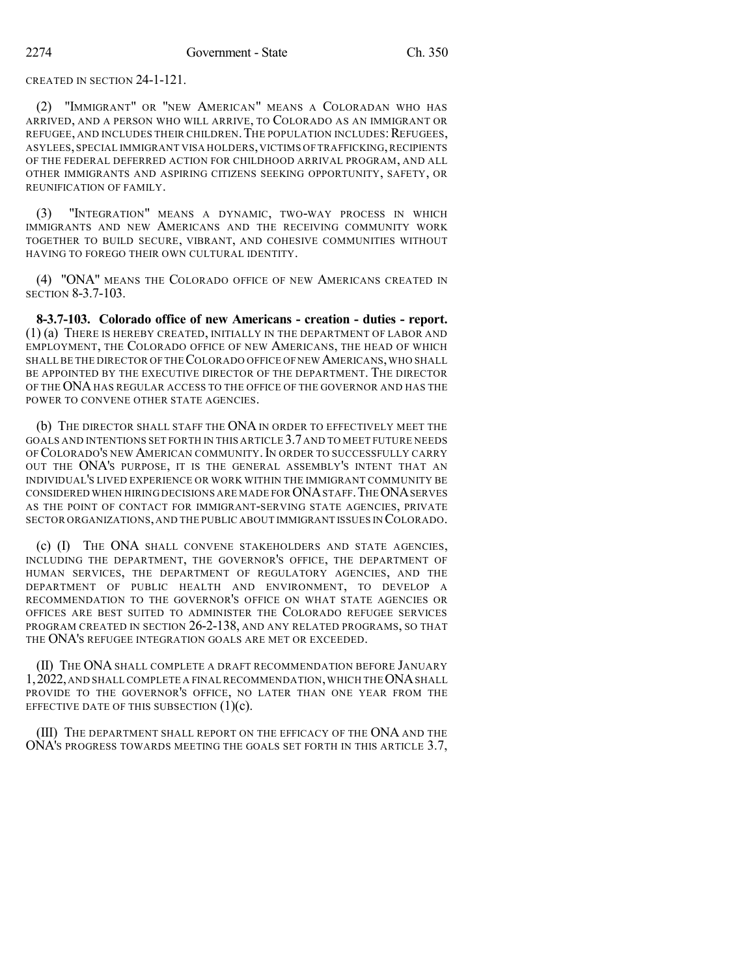CREATED IN SECTION 24-1-121.

(2) "IMMIGRANT" OR "NEW AMERICAN" MEANS A COLORADAN WHO HAS ARRIVED, AND A PERSON WHO WILL ARRIVE, TO COLORADO AS AN IMMIGRANT OR REFUGEE, AND INCLUDES THEIR CHILDREN. THE POPULATION INCLUDES: REFUGEES, ASYLEES, SPECIAL IMMIGRANT VISA HOLDERS,VICTIMS OF TRAFFICKING,RECIPIENTS OF THE FEDERAL DEFERRED ACTION FOR CHILDHOOD ARRIVAL PROGRAM, AND ALL OTHER IMMIGRANTS AND ASPIRING CITIZENS SEEKING OPPORTUNITY, SAFETY, OR REUNIFICATION OF FAMILY.

(3) "INTEGRATION" MEANS A DYNAMIC, TWO-WAY PROCESS IN WHICH IMMIGRANTS AND NEW AMERICANS AND THE RECEIVING COMMUNITY WORK TOGETHER TO BUILD SECURE, VIBRANT, AND COHESIVE COMMUNITIES WITHOUT HAVING TO FOREGO THEIR OWN CULTURAL IDENTITY.

(4) "ONA" MEANS THE COLORADO OFFICE OF NEW AMERICANS CREATED IN SECTION 8-3.7-103.

**8-3.7-103. Colorado office of new Americans - creation - duties - report.** (1) (a) THERE IS HEREBY CREATED, INITIALLY IN THE DEPARTMENT OF LABOR AND EMPLOYMENT, THE COLORADO OFFICE OF NEW AMERICANS, THE HEAD OF WHICH SHALL BE THE DIRECTOR OF THE COLORADO OFFICE OF NEW AMERICANS, WHO SHALL BE APPOINTED BY THE EXECUTIVE DIRECTOR OF THE DEPARTMENT. THE DIRECTOR OF THE ONA HAS REGULAR ACCESS TO THE OFFICE OF THE GOVERNOR AND HAS THE POWER TO CONVENE OTHER STATE AGENCIES.

(b) THE DIRECTOR SHALL STAFF THE ONA IN ORDER TO EFFECTIVELY MEET THE GOALS AND INTENTIONS SET FORTH IN THIS ARTICLE 3.7AND TO MEET FUTURE NEEDS OF COLORADO'S NEW AMERICAN COMMUNITY. IN ORDER TO SUCCESSFULLY CARRY OUT THE ONA'S PURPOSE, IT IS THE GENERAL ASSEMBLY'S INTENT THAT AN INDIVIDUAL'S LIVED EXPERIENCE OR WORK WITHIN THE IMMIGRANT COMMUNITY BE CONSIDERED WHEN HIRING DECISIONS ARE MADE FOR ONA STAFF. THE ONA SERVES AS THE POINT OF CONTACT FOR IMMIGRANT-SERVING STATE AGENCIES, PRIVATE SECTOR ORGANIZATIONS,AND THE PUBLIC ABOUT IMMIGRANT ISSUES IN COLORADO.

(c) (I) THE ONA SHALL CONVENE STAKEHOLDERS AND STATE AGENCIES, INCLUDING THE DEPARTMENT, THE GOVERNOR'S OFFICE, THE DEPARTMENT OF HUMAN SERVICES, THE DEPARTMENT OF REGULATORY AGENCIES, AND THE DEPARTMENT OF PUBLIC HEALTH AND ENVIRONMENT, TO DEVELOP A RECOMMENDATION TO THE GOVERNOR'S OFFICE ON WHAT STATE AGENCIES OR OFFICES ARE BEST SUITED TO ADMINISTER THE COLORADO REFUGEE SERVICES PROGRAM CREATED IN SECTION 26-2-138, AND ANY RELATED PROGRAMS, SO THAT THE ONA'S REFUGEE INTEGRATION GOALS ARE MET OR EXCEEDED.

(II) THE ONA SHALL COMPLETE A DRAFT RECOMMENDATION BEFORE JANUARY 1, 2022, AND SHALL COMPLETE A FINAL RECOMMENDATION, WHICH THE ONA SHALL PROVIDE TO THE GOVERNOR'S OFFICE, NO LATER THAN ONE YEAR FROM THE EFFECTIVE DATE OF THIS SUBSECTION  $(1)(c)$ .

(III) THE DEPARTMENT SHALL REPORT ON THE EFFICACY OF THE ONA AND THE ONA'S PROGRESS TOWARDS MEETING THE GOALS SET FORTH IN THIS ARTICLE 3.7,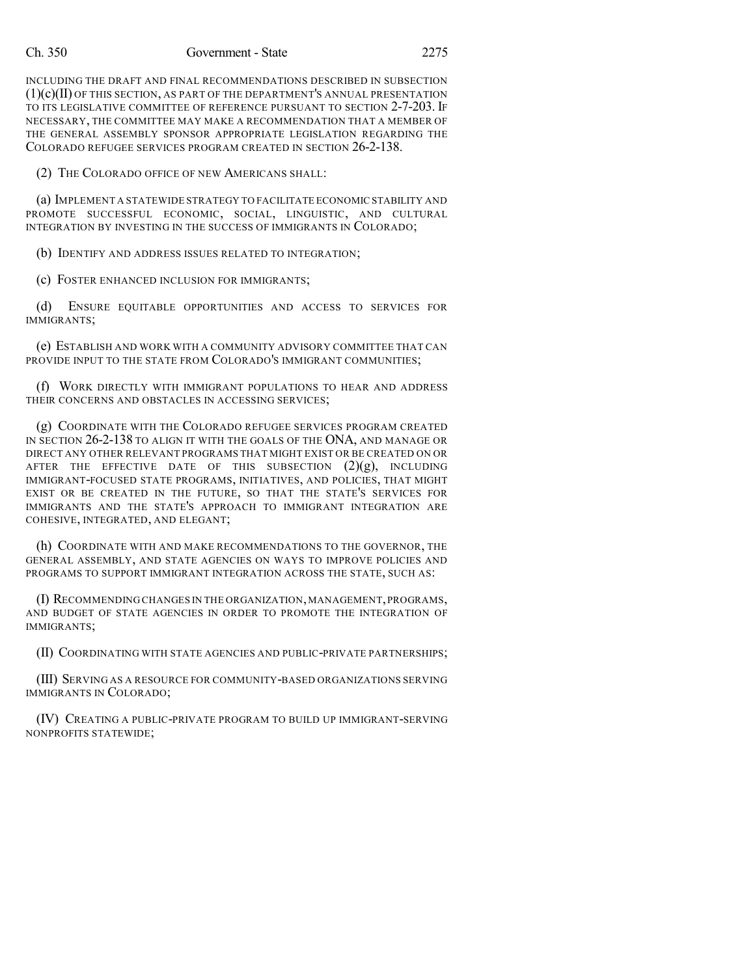#### Ch. 350 Government - State 2275

INCLUDING THE DRAFT AND FINAL RECOMMENDATIONS DESCRIBED IN SUBSECTION  $(1)(c)(II)$  OF THIS SECTION, AS PART OF THE DEPARTMENT'S ANNUAL PRESENTATION TO ITS LEGISLATIVE COMMITTEE OF REFERENCE PURSUANT TO SECTION 2-7-203. IF NECESSARY, THE COMMITTEE MAY MAKE A RECOMMENDATION THAT A MEMBER OF THE GENERAL ASSEMBLY SPONSOR APPROPRIATE LEGISLATION REGARDING THE COLORADO REFUGEE SERVICES PROGRAM CREATED IN SECTION 26-2-138.

(2) THE COLORADO OFFICE OF NEW AMERICANS SHALL:

(a) IMPLEMENT A STATEWIDE STRATEGY TO FACILITATE ECONOMIC STABILITY AND PROMOTE SUCCESSFUL ECONOMIC, SOCIAL, LINGUISTIC, AND CULTURAL INTEGRATION BY INVESTING IN THE SUCCESS OF IMMIGRANTS IN COLORADO;

(b) IDENTIFY AND ADDRESS ISSUES RELATED TO INTEGRATION;

(c) FOSTER ENHANCED INCLUSION FOR IMMIGRANTS;

(d) ENSURE EQUITABLE OPPORTUNITIES AND ACCESS TO SERVICES FOR IMMIGRANTS;

(e) ESTABLISH AND WORK WITH A COMMUNITY ADVISORY COMMITTEE THAT CAN PROVIDE INPUT TO THE STATE FROM COLORADO'S IMMIGRANT COMMUNITIES;

(f) WORK DIRECTLY WITH IMMIGRANT POPULATIONS TO HEAR AND ADDRESS THEIR CONCERNS AND OBSTACLES IN ACCESSING SERVICES;

(g) COORDINATE WITH THE COLORADO REFUGEE SERVICES PROGRAM CREATED IN SECTION 26-2-138 TO ALIGN IT WITH THE GOALS OF THE ONA, AND MANAGE OR DIRECT ANY OTHER RELEVANT PROGRAMS THAT MIGHT EXIST OR BE CREATED ON OR AFTER THE EFFECTIVE DATE OF THIS SUBSECTION  $(2)(g)$ , INCLUDING IMMIGRANT-FOCUSED STATE PROGRAMS, INITIATIVES, AND POLICIES, THAT MIGHT EXIST OR BE CREATED IN THE FUTURE, SO THAT THE STATE'S SERVICES FOR IMMIGRANTS AND THE STATE'S APPROACH TO IMMIGRANT INTEGRATION ARE COHESIVE, INTEGRATED, AND ELEGANT;

(h) COORDINATE WITH AND MAKE RECOMMENDATIONS TO THE GOVERNOR, THE GENERAL ASSEMBLY, AND STATE AGENCIES ON WAYS TO IMPROVE POLICIES AND PROGRAMS TO SUPPORT IMMIGRANT INTEGRATION ACROSS THE STATE, SUCH AS:

(I) RECOMMENDING CHANGES IN THE ORGANIZATION,MANAGEMENT,PROGRAMS, AND BUDGET OF STATE AGENCIES IN ORDER TO PROMOTE THE INTEGRATION OF IMMIGRANTS;

(II) COORDINATING WITH STATE AGENCIES AND PUBLIC-PRIVATE PARTNERSHIPS;

(III) SERVING AS A RESOURCE FOR COMMUNITY-BASED ORGANIZATIONS SERVING IMMIGRANTS IN COLORADO;

(IV) CREATING A PUBLIC-PRIVATE PROGRAM TO BUILD UP IMMIGRANT-SERVING NONPROFITS STATEWIDE;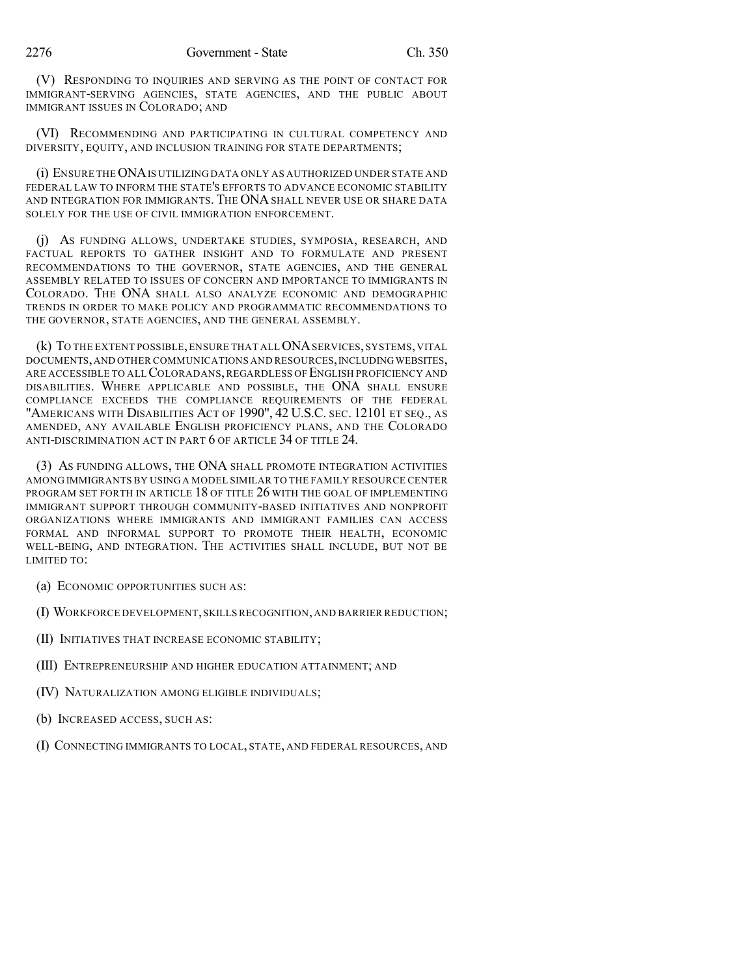(V) RESPONDING TO INQUIRIES AND SERVING AS THE POINT OF CONTACT FOR IMMIGRANT-SERVING AGENCIES, STATE AGENCIES, AND THE PUBLIC ABOUT IMMIGRANT ISSUES IN COLORADO; AND

(VI) RECOMMENDING AND PARTICIPATING IN CULTURAL COMPETENCY AND DIVERSITY, EQUITY, AND INCLUSION TRAINING FOR STATE DEPARTMENTS;

(i) ENSURE THEONAIS UTILIZING DATA ONLY AS AUTHORIZED UNDER STATE AND FEDERAL LAW TO INFORM THE STATE'S EFFORTS TO ADVANCE ECONOMIC STABILITY AND INTEGRATION FOR IMMIGRANTS. THE ONA SHALL NEVER USE OR SHARE DATA SOLELY FOR THE USE OF CIVIL IMMIGRATION ENFORCEMENT.

(j) AS FUNDING ALLOWS, UNDERTAKE STUDIES, SYMPOSIA, RESEARCH, AND FACTUAL REPORTS TO GATHER INSIGHT AND TO FORMULATE AND PRESENT RECOMMENDATIONS TO THE GOVERNOR, STATE AGENCIES, AND THE GENERAL ASSEMBLY RELATED TO ISSUES OF CONCERN AND IMPORTANCE TO IMMIGRANTS IN COLORADO. THE ONA SHALL ALSO ANALYZE ECONOMIC AND DEMOGRAPHIC TRENDS IN ORDER TO MAKE POLICY AND PROGRAMMATIC RECOMMENDATIONS TO THE GOVERNOR, STATE AGENCIES, AND THE GENERAL ASSEMBLY.

(k) TO THE EXTENT POSSIBLE,ENSURE THAT ALLONASERVICES, SYSTEMS, VITAL DOCUMENTS, AND OTHER COMMUNICATIONS AND RESOURCES, INCLUDING WEBSITES, ARE ACCESSIBLE TO ALL COLORADANS, REGARDLESS OF ENGLISH PROFICIENCY AND DISABILITIES. WHERE APPLICABLE AND POSSIBLE, THE ONA SHALL ENSURE COMPLIANCE EXCEEDS THE COMPLIANCE REQUIREMENTS OF THE FEDERAL "AMERICANS WITH DISABILITIES ACT OF 1990", 42 U.S.C. SEC. 12101 ET SEQ., AS AMENDED, ANY AVAILABLE ENGLISH PROFICIENCY PLANS, AND THE COLORADO ANTI-DISCRIMINATION ACT IN PART 6 OF ARTICLE 34 OF TITLE 24.

(3) AS FUNDING ALLOWS, THE ONA SHALL PROMOTE INTEGRATION ACTIVITIES AMONG IMMIGRANTS BY USING A MODEL SIMILAR TO THE FAMILY RESOURCE CENTER PROGRAM SET FORTH IN ARTICLE 18 OF TITLE 26 WITH THE GOAL OF IMPLEMENTING IMMIGRANT SUPPORT THROUGH COMMUNITY-BASED INITIATIVES AND NONPROFIT ORGANIZATIONS WHERE IMMIGRANTS AND IMMIGRANT FAMILIES CAN ACCESS FORMAL AND INFORMAL SUPPORT TO PROMOTE THEIR HEALTH, ECONOMIC WELL-BEING, AND INTEGRATION. THE ACTIVITIES SHALL INCLUDE, BUT NOT BE LIMITED TO:

- (a) ECONOMIC OPPORTUNITIES SUCH AS:
- (I) WORKFORCE DEVELOPMENT,SKILLS RECOGNITION,AND BARRIER REDUCTION;
- (II) INITIATIVES THAT INCREASE ECONOMIC STABILITY;
- (III) ENTREPRENEURSHIP AND HIGHER EDUCATION ATTAINMENT; AND
- (IV) NATURALIZATION AMONG ELIGIBLE INDIVIDUALS;
- (b) INCREASED ACCESS, SUCH AS:
- (I) CONNECTING IMMIGRANTS TO LOCAL, STATE, AND FEDERAL RESOURCES, AND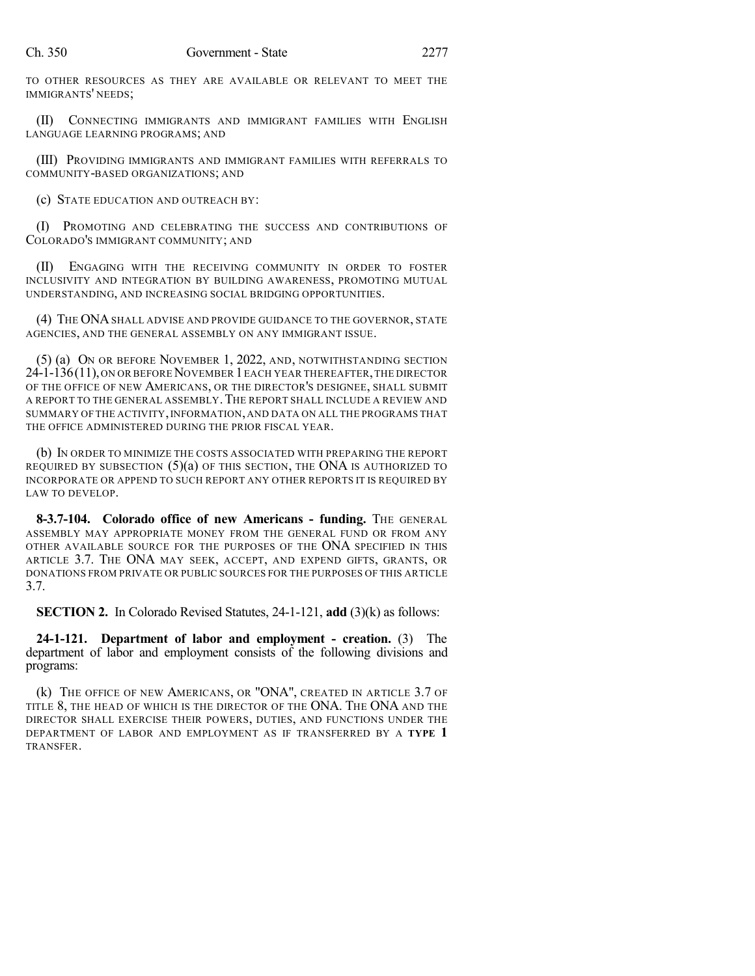TO OTHER RESOURCES AS THEY ARE AVAILABLE OR RELEVANT TO MEET THE IMMIGRANTS' NEEDS;

(II) CONNECTING IMMIGRANTS AND IMMIGRANT FAMILIES WITH ENGLISH LANGUAGE LEARNING PROGRAMS; AND

(III) PROVIDING IMMIGRANTS AND IMMIGRANT FAMILIES WITH REFERRALS TO COMMUNITY-BASED ORGANIZATIONS; AND

(c) STATE EDUCATION AND OUTREACH BY:

(I) PROMOTING AND CELEBRATING THE SUCCESS AND CONTRIBUTIONS OF COLORADO'S IMMIGRANT COMMUNITY; AND

(II) ENGAGING WITH THE RECEIVING COMMUNITY IN ORDER TO FOSTER INCLUSIVITY AND INTEGRATION BY BUILDING AWARENESS, PROMOTING MUTUAL UNDERSTANDING, AND INCREASING SOCIAL BRIDGING OPPORTUNITIES.

(4) THE ONASHALL ADVISE AND PROVIDE GUIDANCE TO THE GOVERNOR, STATE AGENCIES, AND THE GENERAL ASSEMBLY ON ANY IMMIGRANT ISSUE.

(5) (a) ON OR BEFORE NOVEMBER 1, 2022, AND, NOTWITHSTANDING SECTION 24-1-136(11), ON OR BEFORE NOVEMBER 1 EACH YEAR THEREAFTER, THE DIRECTOR OF THE OFFICE OF NEW AMERICANS, OR THE DIRECTOR'S DESIGNEE, SHALL SUBMIT A REPORT TO THE GENERAL ASSEMBLY.THE REPORT SHALL INCLUDE A REVIEW AND SUMMARY OF THE ACTIVITY,INFORMATION,AND DATA ON ALL THE PROGRAMS THAT THE OFFICE ADMINISTERED DURING THE PRIOR FISCAL YEAR.

(b) IN ORDER TO MINIMIZE THE COSTS ASSOCIATED WITH PREPARING THE REPORT REQUIRED BY SUBSECTION  $(5)(a)$  OF THIS SECTION, THE ONA IS AUTHORIZED TO INCORPORATE OR APPEND TO SUCH REPORT ANY OTHER REPORTS IT IS REQUIRED BY LAW TO DEVELOP.

**8-3.7-104. Colorado office of new Americans - funding.** THE GENERAL ASSEMBLY MAY APPROPRIATE MONEY FROM THE GENERAL FUND OR FROM ANY OTHER AVAILABLE SOURCE FOR THE PURPOSES OF THE ONA SPECIFIED IN THIS ARTICLE 3.7. THE ONA MAY SEEK, ACCEPT, AND EXPEND GIFTS, GRANTS, OR DONATIONS FROM PRIVATE OR PUBLIC SOURCES FOR THE PURPOSES OF THIS ARTICLE 3.7.

**SECTION 2.** In Colorado Revised Statutes, 24-1-121, **add** (3)(k) as follows:

**24-1-121. Department of labor and employment - creation.** (3) The department of labor and employment consists of the following divisions and programs:

(k) THE OFFICE OF NEW AMERICANS, OR "ONA", CREATED IN ARTICLE 3.7 OF TITLE 8, THE HEAD OF WHICH IS THE DIRECTOR OF THE ONA. THE ONA AND THE DIRECTOR SHALL EXERCISE THEIR POWERS, DUTIES, AND FUNCTIONS UNDER THE DEPARTMENT OF LABOR AND EMPLOYMENT AS IF TRANSFERRED BY A **TYPE 1** TRANSFER.